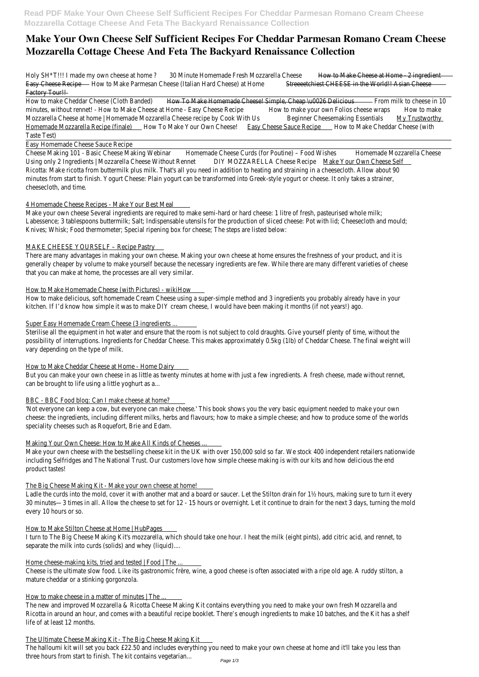# **Make Your Own Cheese Self Sufficient Recipes For Cheddar Parmesan Romano Cream Cheese Mozzarella Cottage Cheese And Feta The Backyard Renaissance Collection**

Holy SH<sup>\*T!!!</sup> I made my own cheese at home <sup>0</sup> Minute Homemade Fresh Mozzarella Cheese we to Make Cheese at Home - 2 ingredient Easy Cheese Recipe How to Make Parmesan Cheese (Italian Hard Cheese) at H&tmeeeetchiest CHEESE in the World!! Asian Cheese Factory Tour!!

How to make Cheddar Cheese (Cloth Banded) To Make Homemade Cheese! Simple, Cheap \u0026 Delicibus milk to cheese in 10 minutes, without rennet! - How to Make Cheese at Home - Easy Cheese Rexipeo make your own Folios cheese wralle Mozzarella Cheese at home | Homemade Mozzarella Cheese recipe by Cook WitBeldinner Cheesemaking Essential My Trustworthy Homemade Mozzarella Recipe (finale) How To Make Your Own Cheese Sauce Sauce RecipeHow to Make Cheddar Cheese (with Taste Test)

Cheese Making 101 - Basic Cheese Making Webihlamemade Cheese Curds (for Poutine) - Food Wishes memade Mozzarella Cheese Using only 2 Ingredients | Mozzarella Cheese Without ReDINE MOZZARELLA Cheese Recipe Make Your Own Cheese Self Ricotta: Make ricotta from buttermilk plus milk. That's all you need in addition to heating and straining in a cheesecloth. Allow about 90 minutes from start to finish. Yogurt Cheese: Plain yogurt can be transformed into Greek-style yogurt or cheese. It only takes a strainer, cheesecloth, and time.

Easy Homemade Cheese Sauce Recipe

There are many advantages in making your own cheese. Making your own cheese at home ensures the freshness of your product, and it generally cheaper by volume to make yourself because the necessary ingredients are few. While there are many different varieties of ch that you can make at home, the processes are all very similar.

Sterilise all the equipment in hot water and ensure that the room is not subject to cold draughts. Give yourself plenty of time, without possibility of interruptions. Ingredients for Cheddar Cheese. This makes approximately 0.5kg (1lb) of Cheddar Cheese. The final weight w vary depending on the type of milk.

#### How to Make Cheddar Cheese at Home - Home Dairy

But you can make your own cheese in as little as twenty minutes at home with just a few ingredients. A fresh cheese, made without re can be brought to life using a little yoghurt as a...

## 4 Homemade Cheese Recipes - Make Your Best Meal

'Not everyone can keep a cow, but everyone can make cheese.' This book shows you the very basic equipment needed to make your ow cheese: the ingredients, including different milks, herbs and flavours; how to make a simple cheese; and how to produce some of the wo speciality cheeses such as Roquefort, Brie and Edam.

Make your own cheese Several ingredients are required to make semi-hard or hard cheese: 1 litre of fresh, pasteurised whole milk; Labessence; 3 tablespoons buttermilk; Salt; Indispensable utensils for the production of sliced cheese: Pot with lid; Cheesecloth and mou Knives; Whisk; Food thermometer; Special ripening box for cheese; The steps are listed below:

Make your own cheese with the bestselling cheese kit in the UK with over 150,000 sold so far. We stock 400 independent retailers national including Selfridges and The National Trust. Our customers love how simple cheese making is with our kits and how delicious the end product tastes!

## MAKE CHEESE YOURSELF – Recipe Pastry

#### How to Make Homemade Cheese (with Pictures) - wikiHow

How to make delicious, soft homemade Cream Cheese using a super-simple method and 3 ingredients you probably already have in your kitchen. If I'd know how simple it was to make DIY cream cheese, I would have been making it months (if not years!) ago.

# Super Easy Homemade Cream Cheese (3 ingredients ...

#### BBC - BBC Food blog: Can I make cheese at home?

# Making Your Own Cheese: How to Make All Kinds of Cheeses ...

# The Big Cheese Making Kit - Make your own cheese at home!

Ladle the curds into the mold, cover it with another mat and a board or saucer. Let the Stilton drain for 1½ hours, making sure to turn 30 minutes—3 times in all. Allow the cheese to set for 12 - 15 hours or overnight. Let it continue to drain for the next 3 days, turning

every 10 hours or so.

#### How to Make Stilton Cheese at Home | HubPages

I turn to The Big Cheese Making Kit's mozzarella, which should take one hour. I heat the milk (eight pints), add citric acid, and rennet, to separate the milk into curds (solids) and whey (liquid)....

#### Home cheese-making kits, tried and tested | Food | The ...

Cheese is the ultimate slow food. Like its gastronomic frère, wine, a good cheese is often associated with a ripe old age. A ruddy stilton, a mature cheddar or a stinking gorgonzola.

#### How to make cheese in a matter of minutes | The ...

The new and improved Mozzarella & Ricotta Cheese Making Kit contains everything you need to make your own fresh Mozzarella and Ricotta in around an hour, and comes with a beautiful recipe booklet. There's enough ingredients to make 10 batches, and the Kit has a life of at least 12 months.

#### The Ultimate Cheese Making Kit - The Big Cheese Making Kit

The halloumi kit will set you back £22.50 and includes everything you need to make your own cheese at home and it'll take you less tha three hours from start to finish. The kit contains vegetarian...<br><sup>Page 1/3</sup>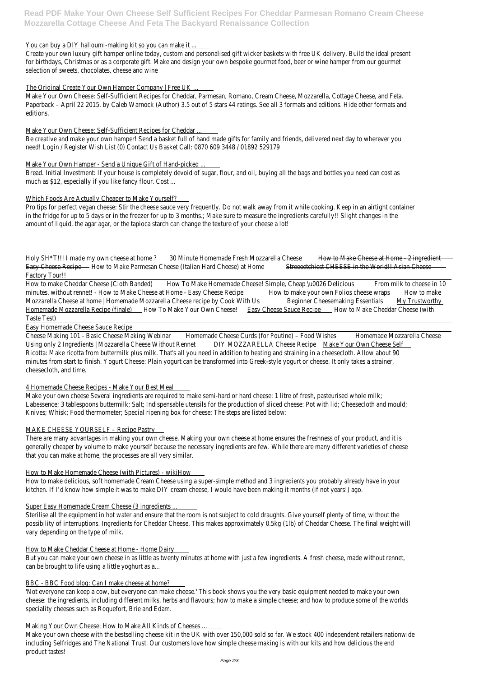**Read PDF Make Your Own Cheese Self Sufficient Recipes For Cheddar Parmesan Romano Cream Cheese Mozzarella Cottage Cheese And Feta The Backyard Renaissance Collection**

#### You can buy a DIY halloumi-making kit so you can make it ...

Create your own luxury gift hamper online today, custom and personalised gift wicker baskets with free UK delivery. Build the ideal pres for birthdays, Christmas or as a corporate gift. Make and design your own bespoke gourmet food, beer or wine hamper from our gourmet selection of sweets, chocolates, cheese and wine

## The Original Create Your Own Hamper Company | Free UK ...

Be creative and make your own hamper! Send a basket full of hand made gifts for family and friends, delivered next day to wherever you need! Login / Register Wish List (0) Contact Us Basket Call: 0870 609 3448 / 01892 529179

Bread. Initial Investment: If your house is completely devoid of sugar, flour, and oil, buying all the bags and bottles you need can cost as much as \$12, especially if you like fancy flour. Cost ...

Make Your Own Cheese: Self-Sufficient Recipes for Cheddar, Parmesan, Romano, Cream Cheese, Mozzarella, Cottage Cheese, and Feta. Paperback – April 22 2015. by Caleb Warnock (Author) 3.5 out of 5 stars 44 ratings. See all 3 formats and editions. Hide other formats and editions.

## Make Your Own Cheese: Self-Sufficient Recipes for Cheddar ...

Pro tips for perfect vegan cheese: Stir the cheese sauce very frequently. Do not walk away from it while cooking. Keep in an airtight co in the fridge for up to 5 days or in the freezer for up to 3 months.; Make sure to measure the ingredients carefully!! Slight changes in t amount of liquid, the agar agar, or the tapioca starch can change the texture of your cheese a lot!

Holy SH<sup>\*T!!!</sup> I made my own cheese at home ? Minute Homemade Fresh Mozzarella Cheese we to Make Cheese at Home - 2 ingredient Easy Cheese Recipe How to Make Parmesan Cheese (Italian Hard Cheese) at H& meecetchiest CHEESE in the World!! Asian Cheese Factory Tour!!

## Make Your Own Hamper - Send a Unique Gift of Hand-picked ...

How to make Cheddar Cheese (Cloth Banded) To Make Homemade Cheese! Simple, Cheap \u0026 Delicibusm milk to cheese in 10 minutes, without rennet! - How to Make Cheese at Home - Easy Cheese Rexipeo make your own Folios cheese wraps to make Mozzarella Cheese at home | Homemade Mozzarella Cheese recipe by Cook Withedishner Cheesemaking Essential My Trustworthy Homemade Mozzarella Recipe (finale) How To Make Your Own Cheese Sauce Sauce RecipeHow to Make Cheddar Cheese (with Taste Test)

## Which Foods Are Actually Cheaper to Make Yourself?

Cheese Making 101 - Basic Cheese Making Webihlamemade Cheese Curds (for Poutine) - Food Wishes memade Mozzarella Cheese Using only 2 Ingredients | Mozzarella Cheese Without ReDINE MOZZARELLA Cheese Recipe Make Your Own Cheese Self Ricotta: Make ricotta from buttermilk plus milk. That's all you need in addition to heating and straining in a cheesecloth. Allow about 90 minutes from start to finish. Yogurt Cheese: Plain yogurt can be transformed into Greek-style yogurt or cheese. It only takes a strainer, cheesecloth, and time.

There are many advantages in making your own cheese. Making your own cheese at home ensures the freshness of your product, and it generally cheaper by volume to make yourself because the necessary ingredients are few. While there are many different varieties of ch that you can make at home, the processes are all very similar.

Sterilise all the equipment in hot water and ensure that the room is not subject to cold draughts. Give yourself plenty of time, without possibility of interruptions. Ingredients for Cheddar Cheese. This makes approximately 0.5kg (1lb) of Cheddar Cheese. The final weight w vary depending on the type of milk.

#### How to Make Cheddar Cheese at Home - Home Dairy

But you can make your own cheese in as little as twenty minutes at home with just a few ingredients. A fresh cheese, made without re can be brought to life using a little yoghurt as a...

#### BBC - BBC Food blog: Can I make cheese at home?

'Not everyone can keep a cow, but everyone can make cheese.' This book shows you the very basic equipment needed to make your ow cheese: the ingredients, including different milks, herbs and flavours; how to make a simple cheese; and how to produce some of the worlds speciality cheeses such as Roquefort, Brie and Edam.

#### Easy Homemade Cheese Sauce Recipe

Make your own cheese with the bestselling cheese kit in the UK with over 150,000 sold so far. We stock 400 independent retailers national including Selfridges and The National Trust. Our customers love how simple cheese making is with our kits and how delicious the end product tastes!

# 4 Homemade Cheese Recipes - Make Your Best Meal

Make your own cheese Several ingredients are required to make semi-hard or hard cheese: 1 litre of fresh, pasteurised whole milk; Labessence; 3 tablespoons buttermilk; Salt; Indispensable utensils for the production of sliced cheese: Pot with lid; Cheesecloth and mou Knives; Whisk; Food thermometer; Special ripening box for cheese; The steps are listed below:

# MAKE CHEESE YOURSELF – Recipe Pastry

# How to Make Homemade Cheese (with Pictures) - wikiHow

How to make delicious, soft homemade Cream Cheese using a super-simple method and 3 ingredients you probably already have in your kitchen. If I'd know how simple it was to make DIY cream cheese, I would have been making it months (if not years!) ago.

#### Super Easy Homemade Cream Cheese (3 ingredients ...

#### Making Your Own Cheese: How to Make All Kinds of Cheeses ...